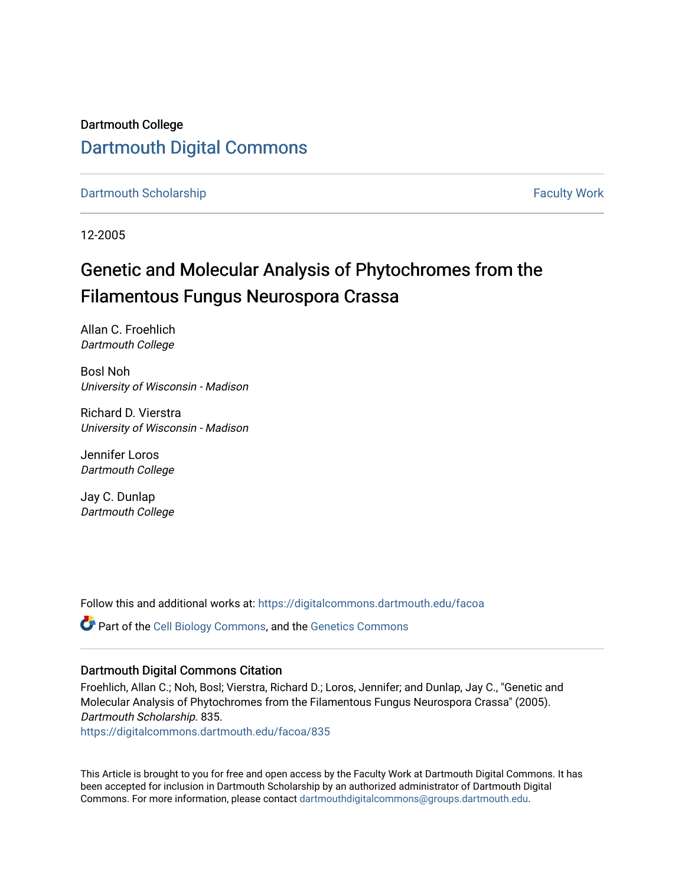Dartmouth College [Dartmouth Digital Commons](https://digitalcommons.dartmouth.edu/) 

[Dartmouth Scholarship](https://digitalcommons.dartmouth.edu/facoa) Faculty Work

12-2005

# Genetic and Molecular Analysis of Phytochromes from the Filamentous Fungus Neurospora Crassa

Allan C. Froehlich Dartmouth College

Bosl Noh University of Wisconsin - Madison

Richard D. Vierstra University of Wisconsin - Madison

Jennifer Loros Dartmouth College

Jay C. Dunlap Dartmouth College

Follow this and additional works at: [https://digitalcommons.dartmouth.edu/facoa](https://digitalcommons.dartmouth.edu/facoa?utm_source=digitalcommons.dartmouth.edu%2Ffacoa%2F835&utm_medium=PDF&utm_campaign=PDFCoverPages)

Part of the [Cell Biology Commons,](http://network.bepress.com/hgg/discipline/10?utm_source=digitalcommons.dartmouth.edu%2Ffacoa%2F835&utm_medium=PDF&utm_campaign=PDFCoverPages) and the [Genetics Commons](http://network.bepress.com/hgg/discipline/29?utm_source=digitalcommons.dartmouth.edu%2Ffacoa%2F835&utm_medium=PDF&utm_campaign=PDFCoverPages)

### Dartmouth Digital Commons Citation

Froehlich, Allan C.; Noh, Bosl; Vierstra, Richard D.; Loros, Jennifer; and Dunlap, Jay C., "Genetic and Molecular Analysis of Phytochromes from the Filamentous Fungus Neurospora Crassa" (2005). Dartmouth Scholarship. 835.

[https://digitalcommons.dartmouth.edu/facoa/835](https://digitalcommons.dartmouth.edu/facoa/835?utm_source=digitalcommons.dartmouth.edu%2Ffacoa%2F835&utm_medium=PDF&utm_campaign=PDFCoverPages)

This Article is brought to you for free and open access by the Faculty Work at Dartmouth Digital Commons. It has been accepted for inclusion in Dartmouth Scholarship by an authorized administrator of Dartmouth Digital Commons. For more information, please contact [dartmouthdigitalcommons@groups.dartmouth.edu](mailto:dartmouthdigitalcommons@groups.dartmouth.edu).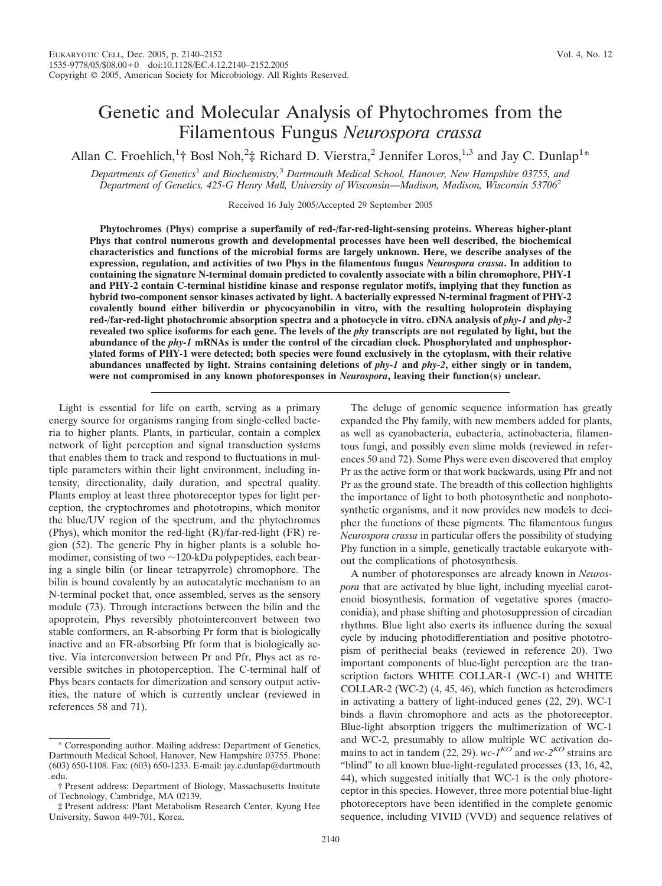## Genetic and Molecular Analysis of Phytochromes from the Filamentous Fungus *Neurospora crassa*

Allan C. Froehlich,<sup>1</sup>† Bosl Noh,<sup>2</sup>‡ Richard D. Vierstra,<sup>2</sup> Jennifer Loros,<sup>1,3</sup> and Jay C. Dunlap<sup>1\*</sup>

*Departments of Genetics*<sup>1</sup> *and Biochemistry,*<sup>3</sup> *Dartmouth Medical School, Hanover, New Hampshire 03755, and Department of Genetics, 425-G Henry Mall, University of Wisconsin—Madison, Madison, Wisconsin 53706*<sup>2</sup>

Received 16 July 2005/Accepted 29 September 2005

**Phytochromes (Phys) comprise a superfamily of red-/far-red-light-sensing proteins. Whereas higher-plant Phys that control numerous growth and developmental processes have been well described, the biochemical characteristics and functions of the microbial forms are largely unknown. Here, we describe analyses of the expression, regulation, and activities of two Phys in the filamentous fungus** *Neurospora crassa***. In addition to containing the signature N-terminal domain predicted to covalently associate with a bilin chromophore, PHY-1 and PHY-2 contain C-terminal histidine kinase and response regulator motifs, implying that they function as hybrid two-component sensor kinases activated by light. A bacterially expressed N-terminal fragment of PHY-2 covalently bound either biliverdin or phycocyanobilin in vitro, with the resulting holoprotein displaying red-/far-red-light photochromic absorption spectra and a photocycle in vitro. cDNA analysis of** *phy-1* **and** *phy-2* **revealed two splice isoforms for each gene. The levels of the** *phy* **transcripts are not regulated by light, but the abundance of the** *phy-1* **mRNAs is under the control of the circadian clock. Phosphorylated and unphosphorylated forms of PHY-1 were detected; both species were found exclusively in the cytoplasm, with their relative abundances unaffected by light. Strains containing deletions of** *phy-1* **and** *phy-2***, either singly or in tandem, were not compromised in any known photoresponses in** *Neurospora***, leaving their function(s) unclear.**

Light is essential for life on earth, serving as a primary energy source for organisms ranging from single-celled bacteria to higher plants. Plants, in particular, contain a complex network of light perception and signal transduction systems that enables them to track and respond to fluctuations in multiple parameters within their light environment, including intensity, directionality, daily duration, and spectral quality. Plants employ at least three photoreceptor types for light perception, the cryptochromes and phototropins, which monitor the blue/UV region of the spectrum, and the phytochromes (Phys), which monitor the red-light (R)/far-red-light (FR) region (52). The generic Phy in higher plants is a soluble homodimer, consisting of two  $\sim$ 120-kDa polypeptides, each bearing a single bilin (or linear tetrapyrrole) chromophore. The bilin is bound covalently by an autocatalytic mechanism to an N-terminal pocket that, once assembled, serves as the sensory module (73). Through interactions between the bilin and the apoprotein, Phys reversibly photointerconvert between two stable conformers, an R-absorbing Pr form that is biologically inactive and an FR-absorbing Pfr form that is biologically active. Via interconversion between Pr and Pfr, Phys act as reversible switches in photoperception. The C-terminal half of Phys bears contacts for dimerization and sensory output activities, the nature of which is currently unclear (reviewed in references 58 and 71).

The deluge of genomic sequence information has greatly expanded the Phy family, with new members added for plants, as well as cyanobacteria, eubacteria, actinobacteria, filamentous fungi, and possibly even slime molds (reviewed in references 50 and 72). Some Phys were even discovered that employ Pr as the active form or that work backwards, using Pfr and not Pr as the ground state. The breadth of this collection highlights the importance of light to both photosynthetic and nonphotosynthetic organisms, and it now provides new models to decipher the functions of these pigments. The filamentous fungus *Neurospora crassa* in particular offers the possibility of studying Phy function in a simple, genetically tractable eukaryote without the complications of photosynthesis.

A number of photoresponses are already known in *Neurospora* that are activated by blue light, including mycelial carotenoid biosynthesis, formation of vegetative spores (macroconidia), and phase shifting and photosuppression of circadian rhythms. Blue light also exerts its influence during the sexual cycle by inducing photodifferentiation and positive phototropism of perithecial beaks (reviewed in reference 20). Two important components of blue-light perception are the transcription factors WHITE COLLAR-1 (WC-1) and WHITE COLLAR-2 (WC-2) (4, 45, 46), which function as heterodimers in activating a battery of light-induced genes (22, 29). WC-1 binds a flavin chromophore and acts as the photoreceptor. Blue-light absorption triggers the multimerization of WC-1 and WC-2, presumably to allow multiple WC activation domains to act in tandem (22, 29). *wc-1<sup>KO</sup>* and *wc-2<sup>KO</sup>* strains are "blind" to all known blue-light-regulated processes (13, 16, 42, 44), which suggested initially that WC-1 is the only photoreceptor in this species. However, three more potential blue-light photoreceptors have been identified in the complete genomic sequence, including VIVID (VVD) and sequence relatives of

<sup>\*</sup> Corresponding author. Mailing address: Department of Genetics, Dartmouth Medical School, Hanover, New Hampshire 03755. Phone: (603) 650-1108. Fax: (603) 650-1233. E-mail: jay.c.dunlap@dartmouth .edu.

<sup>†</sup> Present address: Department of Biology, Massachusetts Institute of Technology, Cambridge, MA 02139.

<sup>‡</sup> Present address: Plant Metabolism Research Center, Kyung Hee University, Suwon 449-701, Korea.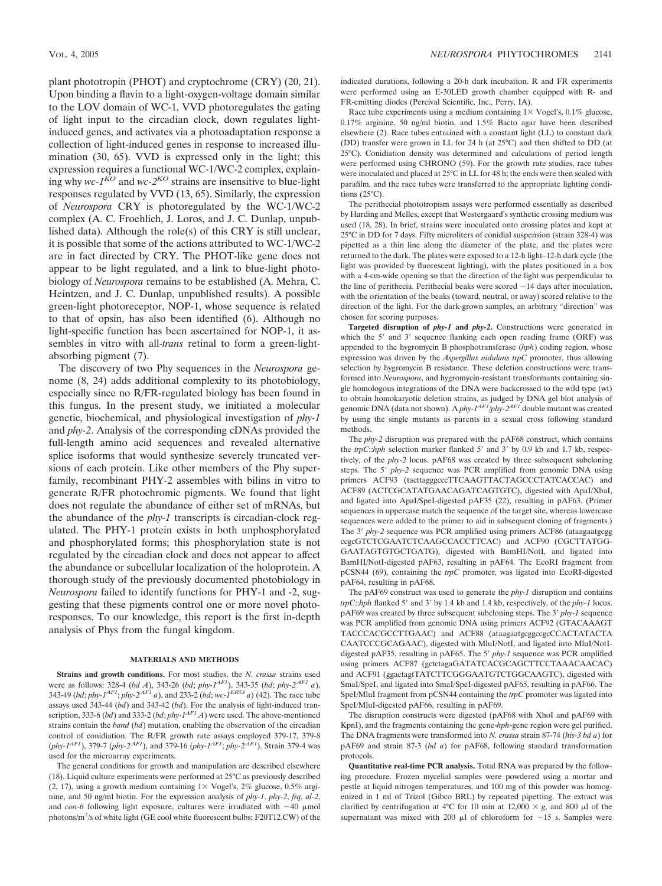plant phototropin (PHOT) and cryptochrome (CRY) (20, 21). Upon binding a flavin to a light-oxygen-voltage domain similar to the LOV domain of WC-1, VVD photoregulates the gating of light input to the circadian clock, down regulates lightinduced genes, and activates via a photoadaptation response a collection of light-induced genes in response to increased illumination (30, 65). VVD is expressed only in the light; this expression requires a functional WC-1/WC-2 complex, explaining why  $wc-1^{KO}$  and  $wc-2^{KO}$  strains are insensitive to blue-light responses regulated by VVD (13, 65). Similarly, the expression of *Neurospora* CRY is photoregulated by the WC-1/WC-2 complex (A. C. Froehlich, J. Loros, and J. C. Dunlap, unpublished data). Although the role(s) of this CRY is still unclear, it is possible that some of the actions attributed to WC-1/WC-2 are in fact directed by CRY. The PHOT-like gene does not appear to be light regulated, and a link to blue-light photobiology of *Neurospora* remains to be established (A. Mehra, C. Heintzen, and J. C. Dunlap, unpublished results). A possible green-light photoreceptor, NOP-1, whose sequence is related to that of opsin, has also been identified (6). Although no light-specific function has been ascertained for NOP-1, it assembles in vitro with all-*trans* retinal to form a green-lightabsorbing pigment (7).

The discovery of two Phy sequences in the *Neurospora* genome (8, 24) adds additional complexity to its photobiology, especially since no R/FR-regulated biology has been found in this fungus. In the present study, we initiated a molecular genetic, biochemical, and physiological investigation of *phy-1* and *phy-2*. Analysis of the corresponding cDNAs provided the full-length amino acid sequences and revealed alternative splice isoforms that would synthesize severely truncated versions of each protein. Like other members of the Phy superfamily, recombinant PHY-2 assembles with bilins in vitro to generate R/FR photochromic pigments. We found that light does not regulate the abundance of either set of mRNAs, but the abundance of the *phy-1* transcripts is circadian-clock regulated. The PHY-1 protein exists in both unphosphorylated and phosphorylated forms; this phosphorylation state is not regulated by the circadian clock and does not appear to affect the abundance or subcellular localization of the holoprotein. A thorough study of the previously documented photobiology in *Neurospora* failed to identify functions for PHY-1 and -2, suggesting that these pigments control one or more novel photoresponses. To our knowledge, this report is the first in-depth analysis of Phys from the fungal kingdom.

#### **MATERIALS AND METHODS**

**Strains and growth conditions.** For most studies, the *N. crassa* strains used were as follows: 328-4 (*bd A*), 343-26 (*bd*; *phy-1AF1*), 343-35 (*bd*; *phy-2 AF1 a*), 343-49 (*bd*; *phy-1<sup>AF1</sup>*; *phy-2<sup>AF1</sup> a*), and 233-2 (*bd*; *wc-1<sup>ER53</sup> <i>a*) (42). The race tube assays used 343-44 (*bd*) and 343-42 (*bd*). For the analysis of light-induced transcription, 333-6 (*bd*) and 333-2 (*bd*; *phy*- $1^{AF1}A$ ) were used. The above-mentioned strains contain the *band* (*bd*) mutation, enabling the observation of the circadian control of conidiation. The R/FR growth rate assays employed 379-17, 379-8 (*phy-1AF1*), 379-7 (*phy-2 AF1*), and 379-16 (*phy-1AF1*; *phy-2 AF1*). Strain 379-4 was used for the microarray experiments.

The general conditions for growth and manipulation are described elsewhere (18). Liquid culture experiments were performed at 25°C as previously described (2, 17), using a growth medium containing  $1 \times V$ ogel's, 2% glucose, 0.5% arginine, and 50 ng/ml biotin. For the expression analysis of *phy-1*, *phy-2*, *frq*, *al-2*, and *con-6* following light exposure, cultures were irradiated with  $\sim$ 40  $\mu$ mol photons/m<sup>2</sup>/s of white light (GE cool white fluorescent bulbs; F20T12.CW) of the

indicated durations, following a 20-h dark incubation. R and FR experiments were performed using an E-30LED growth chamber equipped with R- and FR-emitting diodes (Percival Scientific, Inc., Perry, IA).

Race tube experiments using a medium containing  $1 \times V$ ogel's, 0.1% glucose, 0.17% arginine, 50 ng/ml biotin, and 1.5% Bacto agar have been described elsewhere (2). Race tubes entrained with a constant light (LL) to constant dark (DD) transfer were grown in LL for 24 h (at 25°C) and then shifted to DD (at 25°C). Conidiation density was determined and calculations of period length were performed using CHRONO (59). For the growth rate studies, race tubes were inoculated and placed at 25°C in LL for 48 h; the ends were then sealed with parafilm, and the race tubes were transferred to the appropriate lighting conditions (25°C).

The perithecial phototropism assays were performed essentially as described by Harding and Melles, except that Westergaard's synthetic crossing medium was used (18, 28). In brief, strains were inoculated onto crossing plates and kept at 25°C in DD for 7 days. Fifty microliters of conidial suspension (strain 328-4) was pipetted as a thin line along the diameter of the plate, and the plates were returned to the dark. The plates were exposed to a 12-h light–12-h dark cycle (the light was provided by fluorescent lighting), with the plates positioned in a box with a 4-cm-wide opening so that the direction of the light was perpendicular to the line of perithecia. Perithecial beaks were scored  $\sim$  14 days after inoculation, with the orientation of the beaks (toward, neutral, or away) scored relative to the direction of the light. For the dark-grown samples, an arbitrary "direction" was chosen for scoring purposes.

**Targeted disruption of** *phy-1* **and** *phy-2***.** Constructions were generated in which the 5' and 3' sequence flanking each open reading frame  $(ORF)$  was appended to the hygromycin B phosphotransferase (*hph*) coding region, whose expression was driven by the *Aspergillus nidulans trpC* promoter, thus allowing selection by hygromycin B resistance. These deletion constructions were transformed into *Neurospora*, and hygromycin-resistant transformants containing single homologous integrations of the DNA were backcrossed to the wild type (wt) to obtain homokaryotic deletion strains, as judged by DNA gel blot analysis of genomic DNA (data not shown). A *phy-1AF1*/*phy-2AF1* double mutant was created by using the single mutants as parents in a sexual cross following standard methods.

The *phy-2* disruption was prepared with the pAF68 construct, which contains the  $trpC::hph$  selection marker flanked 5' and 3' by 0.9 kb and 1.7 kb, respectively, of the *phy-2* locus. pAF68 was created by three subsequent subcloning steps. The 5' *phy-2* sequence was PCR amplified from genomic DNA using primers ACF93 (tacttagggcccTTCAAGTTACTAGCCCTATCACCAC) and ACF89 (ACTCGCATATGAACAGATCAGTGTC), digested with ApaI/XbaI, and ligated into ApaI/SpeI-digested pAF35 (22), resulting in pAF63. (Primer sequences in uppercase match the sequence of the target site, whereas lowercase sequences were added to the primer to aid in subsequent cloning of fragments.) The 3' *phy-2* sequence was PCR amplified using primers ACF86 (ataagaatgcgg) ccgcGTCTCGAATCTCAAGCCACCTTCAC) and ACF90 (CGCTTATGG-GAATAGTGTGCTGATG), digested with BamHI/NotI, and ligated into BamHI/NotI-digested pAF63, resulting in pAF64. The EcoRI fragment from pCSN44 (69), containing the *trpC* promoter, was ligated into EcoRI-digested pAF64, resulting in pAF68.

The pAF69 construct was used to generate the *phy-1* disruption and contains *trpC*::*hph* flanked 5' and 3' by 1.4 kb and 1.4 kb, respectively, of the *phy-1* locus. pAF69 was created by three subsequent subcloning steps. The 3' phy-1 sequence was PCR amplified from genomic DNA using primers ACF92 (GTACAAAGT TACCCACGCCTTGAAC) and ACF88 (ataagaatgcggccgcCCACTATACTA CAATCCCGCAGAAC), digested with MluI/NotI, and ligated into MluI/NotIdigested pAF35, resulting in pAF65. The 5' phy-1 sequence was PCR amplified using primers ACF87 (gctctagaGATATCACGCAGCTTCCTAAACAACAC) and ACF91 (ggactagtTATCTTCGGGAATGTCTGGCAAGTC), digested with SmaI/SpeI, and ligated into SmaI/SpeI-digested pAF65, resulting in pAF66. The SpeI/MluI fragment from pCSN44 containing the *trpC* promoter was ligated into SpeI/MluI-digested pAF66, resulting in pAF69.

The disruption constructs were digested (pAF68 with XhoI and pAF69 with KpnI), and the fragments containing the gene-*hph*-gene region were gel purified. The DNA fragments were transformed into *N. crassa* strain 87-74 (*his-3 bd a*) for pAF69 and strain 87-3 (*bd a*) for pAF68, following standard transformation protocols.

**Quantitative real-time PCR analysis.** Total RNA was prepared by the following procedure. Frozen mycelial samples were powdered using a mortar and pestle at liquid nitrogen temperatures, and 100 mg of this powder was homogenized in 1 ml of Trizol (Gibco BRL) by repeated pipetting. The extract was clarified by centrifugation at 4°C for 10 min at 12,000  $\times$  g, and 800  $\mu$ l of the supernatant was mixed with 200  $\mu$ l of chloroform for  $\sim$ 15 s. Samples were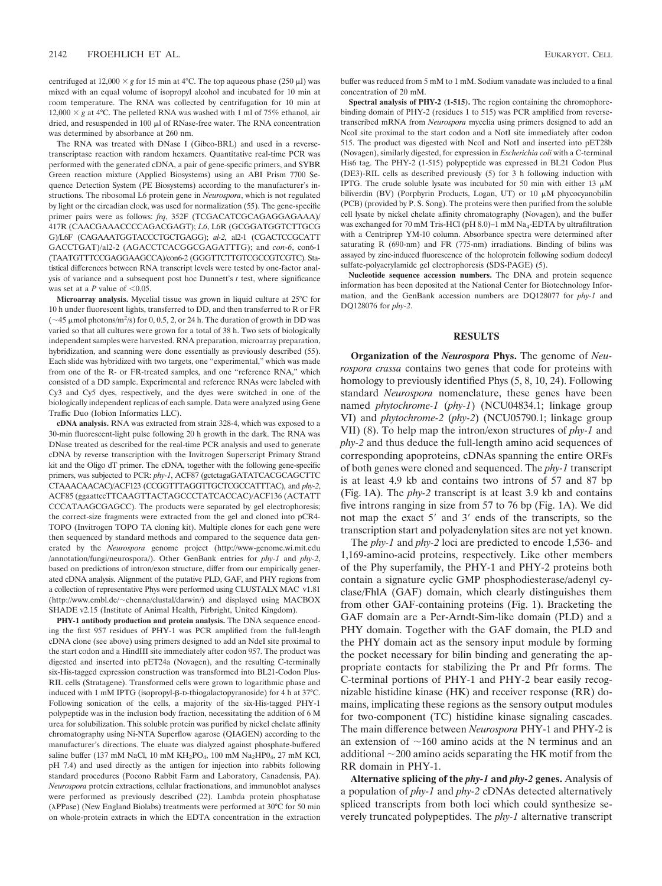centrifuged at  $12,000 \times g$  for 15 min at 4°C. The top aqueous phase (250 µl) was mixed with an equal volume of isopropyl alcohol and incubated for 10 min at room temperature. The RNA was collected by centrifugation for 10 min at  $12,000 \times g$  at 4°C. The pelleted RNA was washed with 1 ml of 75% ethanol, air dried, and resuspended in 100  $\mu$ l of RNase-free water. The RNA concentration was determined by absorbance at 260 nm.

The RNA was treated with DNase I (Gibco-BRL) and used in a reversetranscriptase reaction with random hexamers. Quantitative real-time PCR was performed with the generated cDNA, a pair of gene-specific primers, and SYBR Green reaction mixture (Applied Biosystems) using an ABI Prism 7700 Sequence Detection System (PE Biosystems) according to the manufacturer's instructions. The ribosomal L6 protein gene in *Neurospora*, which is not regulated by light or the circadian clock, was used for normalization (55). The gene-specific primer pairs were as follows: *frq*, 352F (TCGACATCGCAGAGGAGAAA)/ 417R (CAACGAAACCCCAGACGAGT); *L6*, L6R (GCGGATGGTCTTGCG G)/L6F (CAGAAATGGTACCCTGCTGAGG); *al-2*, al2-1 (CGACTCCGCATT GACCTGAT)/al2-2 (AGACCTCACGGCGAGATTTG); and *con-6*, con6-1 (TAATGTTTCCGAGGAAGCCA)/con6-2 (GGGTTCTTGTCGCCGTCGTC). Statistical differences between RNA transcript levels were tested by one-factor analysis of variance and a subsequent post hoc Dunnett's *t* test, where significance was set at a  $P$  value of <0.05.

**Microarray analysis.** Mycelial tissue was grown in liquid culture at 25°C for 10 h under fluorescent lights, transferred to DD, and then transferred to R or FR ( $\sim$  45 µmol photons/m<sup>2</sup>/s) for 0, 0.5, 2, or 24 h. The duration of growth in DD was varied so that all cultures were grown for a total of 38 h. Two sets of biologically independent samples were harvested. RNA preparation, microarray preparation, hybridization, and scanning were done essentially as previously described (55). Each slide was hybridized with two targets, one "experimental," which was made from one of the R- or FR-treated samples, and one "reference RNA," which consisted of a DD sample. Experimental and reference RNAs were labeled with Cy3 and Cy5 dyes, respectively, and the dyes were switched in one of the biologically independent replicas of each sample. Data were analyzed using Gene Traffic Duo (Iobion Informatics LLC).

**cDNA analysis.** RNA was extracted from strain 328-4, which was exposed to a 30-min fluorescent-light pulse following 20 h growth in the dark. The RNA was DNase treated as described for the real-time PCR analysis and used to generate cDNA by reverse transcription with the Invitrogen Superscript Primary Strand kit and the Oligo dT primer. The cDNA, together with the following gene-specific primers, was subjected to PCR: *phy-1*, ACF87 (gctctagaGATATCACGCAGCTTC CTAAACAACAC)/ACF123 (CCGGTTTAGGTTGCTCGCCATTTAC), and *phy-2*, ACF85 (ggaattccTTCAAGTTACTAGCCCTATCACCAC)/ACF136 (ACTATT CCCATAAGCGAGCC). The products were separated by gel electrophoresis; the correct-size fragments were extracted from the gel and cloned into pCR4- TOPO (Invitrogen TOPO TA cloning kit). Multiple clones for each gene were then sequenced by standard methods and compared to the sequence data generated by the *Neurospora* genome project (http://www-genome.wi.mit.edu /annotation/fungi/neurospora/). Other GenBank entries for *phy-1* and *phy-2*, based on predictions of intron/exon structure, differ from our empirically generated cDNA analysis. Alignment of the putative PLD, GAF, and PHY regions from a collection of representative Phys were performed using CLUSTALX MAC v1.81 (http://www.embl.de/-chenna/clustal/darwin/) and displayed using MACBOX SHADE v2.15 (Institute of Animal Health, Pirbright, United Kingdom).

**PHY-1 antibody production and protein analysis.** The DNA sequence encoding the first 957 residues of PHY-1 was PCR amplified from the full-length cDNA clone (see above) using primers designed to add an NdeI site proximal to the start codon and a HindIII site immediately after codon 957. The product was digested and inserted into pET24a (Novagen), and the resulting C-terminally six-His-tagged expression construction was transformed into BL21-Codon Plus-RIL cells (Stratagene). Transformed cells were grown to logarithmic phase and induced with 1 mM IPTG (isopropyl- $\beta$ -D-thiogalactopyranoside) for 4 h at 37°C. Following sonication of the cells, a majority of the six-His-tagged PHY-1 polypeptide was in the inclusion body fraction, necessitating the addition of 6 M urea for solubilization. This soluble protein was purified by nickel chelate affinity chromatography using Ni-NTA Superflow agarose (QIAGEN) according to the manufacturer's directions. The eluate was dialyzed against phosphate-buffered saline buffer (137 mM NaCl, 10 mM  $KH_2PO_4$ , 100 mM Na<sub>2</sub>HP0<sub>4</sub>, 27 mM KCl, pH 7.4) and used directly as the antigen for injection into rabbits following standard procedures (Pocono Rabbit Farm and Laboratory, Canadensis, PA). *Neurospora* protein extractions, cellular fractionations, and immunoblot analyses were performed as previously described (22). Lambda protein phosphatase ( $\lambda$ PPase) (New England Biolabs) treatments were performed at 30°C for 50 min on whole-protein extracts in which the EDTA concentration in the extraction

buffer was reduced from 5 mM to 1 mM. Sodium vanadate was included to a final concentration of 20 mM.

**Spectral analysis of PHY-2 (1-515).** The region containing the chromophorebinding domain of PHY-2 (residues 1 to 515) was PCR amplified from reversetranscribed mRNA from *Neurospora* mycelia using primers designed to add an NcoI site proximal to the start codon and a NotI site immediately after codon 515. The product was digested with NcoI and NotI and inserted into pET28b (Novagen), similarly digested, for expression in *Escherichia coli* with a C-terminal His6 tag. The PHY-2 (1-515) polypeptide was expressed in BL21 Codon Plus (DE3)-RIL cells as described previously (5) for 3 h following induction with IPTG. The crude soluble lysate was incubated for 50 min with either 13  $\mu$ M biliverdin (BV) (Porphyrin Products, Logan, UT) or 10  $\mu$ M phycocyanobilin (PCB) (provided by P. S. Song). The proteins were then purified from the soluble cell lysate by nickel chelate affinity chromatography (Novagen), and the buffer was exchanged for 70 mM Tris-HCl (pH 8.0)–1 mM Na<sub>4</sub>-EDTA by ultrafiltration with a Centriprep YM-10 column. Absorbance spectra were determined after saturating R (690-nm) and FR (775-nm) irradiations. Binding of bilins was assayed by zinc-induced fluorescence of the holoprotein following sodium dodecyl sulfate-polyacrylamide gel electrophoresis (SDS-PAGE) (5).

**Nucleotide sequence accession numbers.** The DNA and protein sequence information has been deposited at the National Center for Biotechnology Information, and the GenBank accession numbers are DQ128077 for *phy-1* and DQ128076 for *phy-2*.

#### **RESULTS**

**Organization of the** *Neurospora* **Phys.** The genome of *Neurospora crassa* contains two genes that code for proteins with homology to previously identified Phys (5, 8, 10, 24). Following standard *Neurospora* nomenclature, these genes have been named *phytochrome-1* (*phy-1*) (NCU04834.1; linkage group VI) and *phytochrome-2* (*phy-2*) (NCU05790.1; linkage group VII) (8). To help map the intron/exon structures of *phy-1* and *phy-2* and thus deduce the full-length amino acid sequences of corresponding apoproteins, cDNAs spanning the entire ORFs of both genes were cloned and sequenced. The *phy-1* transcript is at least 4.9 kb and contains two introns of 57 and 87 bp (Fig. 1A). The *phy-2* transcript is at least 3.9 kb and contains five introns ranging in size from 57 to 76 bp (Fig. 1A). We did not map the exact  $5'$  and  $3'$  ends of the transcripts, so the transcription start and polyadenylation sites are not yet known.

The *phy-1* and *phy-2* loci are predicted to encode 1,536- and 1,169-amino-acid proteins, respectively. Like other members of the Phy superfamily, the PHY-1 and PHY-2 proteins both contain a signature cyclic GMP phosphodiesterase/adenyl cyclase/FhlA (GAF) domain, which clearly distinguishes them from other GAF-containing proteins (Fig. 1). Bracketing the GAF domain are a Per-Arndt-Sim-like domain (PLD) and a PHY domain. Together with the GAF domain, the PLD and the PHY domain act as the sensory input module by forming the pocket necessary for bilin binding and generating the appropriate contacts for stabilizing the Pr and Pfr forms. The C-terminal portions of PHY-1 and PHY-2 bear easily recognizable histidine kinase (HK) and receiver response (RR) domains, implicating these regions as the sensory output modules for two-component (TC) histidine kinase signaling cascades. The main difference between *Neurospora* PHY-1 and PHY-2 is an extension of  $\sim$ 160 amino acids at the N terminus and an additional  $\sim$ 200 amino acids separating the HK motif from the RR domain in PHY-1.

**Alternative splicing of the** *phy-1* **and** *phy-2* **genes.** Analysis of a population of *phy-1* and *phy-2* cDNAs detected alternatively spliced transcripts from both loci which could synthesize severely truncated polypeptides. The *phy-1* alternative transcript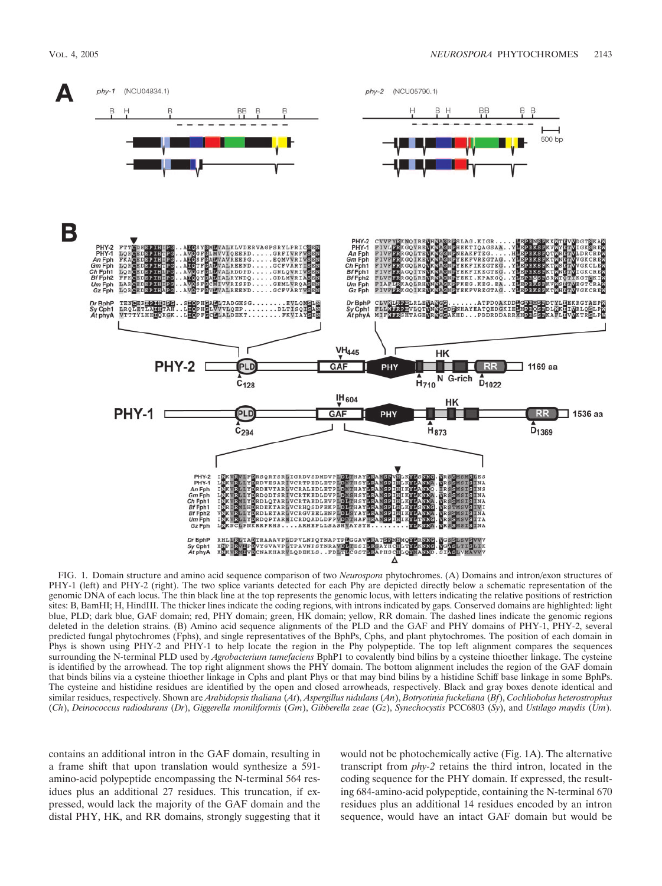

FIG. 1. Domain structure and amino acid sequence comparison of two *Neurospora* phytochromes. (A) Domains and intron/exon structures of PHY-1 (left) and PHY-2 (right). The two splice variants detected for each Phy are depicted directly below a schematic representation of the genomic DNA of each locus. The thin black line at the top represents the genomic locus, with letters indicating the relative positions of restriction sites: B, BamHI; H, HindIII. The thicker lines indicate the coding regions, with introns indicated by gaps. Conserved domains are highlighted: light blue, PLD; dark blue, GAF domain; red, PHY domain; green, HK domain; yellow, RR domain. The dashed lines indicate the genomic regions deleted in the deletion strains. (B) Amino acid sequence alignments of the PLD and the GAF and PHY domains of PHY-1, PHY-2, several predicted fungal phytochromes (Fphs), and single representatives of the BphPs, Cphs, and plant phytochromes. The position of each domain in Phys is shown using PHY-2 and PHY-1 to help locate the region in the Phy polypeptide. The top left alignment compares the sequences surrounding the N-terminal PLD used by *Agrobacterium tumefaciens* BphP1 to covalently bind bilins by a cysteine thioether linkage. The cysteine is identified by the arrowhead. The top right alignment shows the PHY domain. The bottom alignment includes the region of the GAF domain that binds bilins via a cysteine thioether linkage in Cphs and plant Phys or that may bind bilins by a histidine Schiff base linkage in some BphPs. The cysteine and histidine residues are identified by the open and closed arrowheads, respectively. Black and gray boxes denote identical and similar residues, respectively. Shown are *Arabidopsis thaliana* (*At*), *Aspergillus nidulans* (*An*), *Botryotinia fuckeliana* (*Bf*), *Cochliobolus heterostrophus* (*Ch*), *Deinococcus radiodurans* (*Dr*), *Giggerella moniliformis* (*Gm*), *Gibberella zeae* (*Gz*), *Synechocystis* PCC6803 (*Sy*), and *Ustilago maydis* (*Um*).

contains an additional intron in the GAF domain, resulting in a frame shift that upon translation would synthesize a 591 amino-acid polypeptide encompassing the N-terminal 564 residues plus an additional 27 residues. This truncation, if expressed, would lack the majority of the GAF domain and the distal PHY, HK, and RR domains, strongly suggesting that it would not be photochemically active (Fig. 1A). The alternative transcript from *phy-2* retains the third intron, located in the coding sequence for the PHY domain. If expressed, the resulting 684-amino-acid polypeptide, containing the N-terminal 670 residues plus an additional 14 residues encoded by an intron sequence, would have an intact GAF domain but would be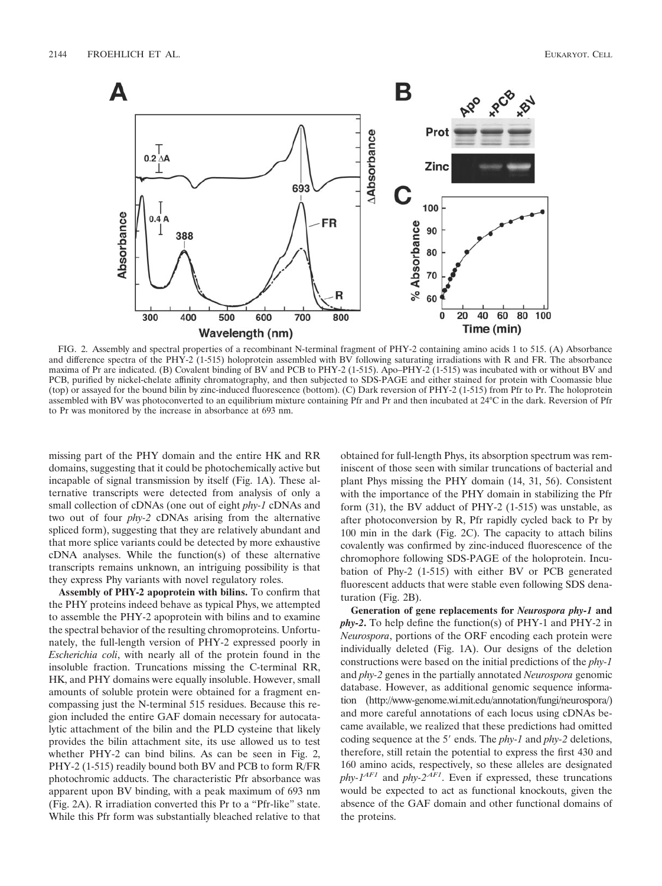

FIG. 2. Assembly and spectral properties of a recombinant N-terminal fragment of PHY-2 containing amino acids 1 to 515. (A) Absorbance and difference spectra of the PHY-2 (1-515) holoprotein assembled with BV following saturating irradiations with R and FR. The absorbance maxima of Pr are indicated. (B) Covalent binding of BV and PCB to PHY-2 (1-515). Apo–PHY-2 (1-515) was incubated with or without BV and PCB, purified by nickel-chelate affinity chromatography, and then subjected to SDS-PAGE and either stained for protein with Coomassie blue (top) or assayed for the bound bilin by zinc-induced fluorescence (bottom). (C) Dark reversion of PHY-2 (1-515) from Pfr to Pr. The holoprotein assembled with BV was photoconverted to an equilibrium mixture containing Pfr and Pr and then incubated at 24°C in the dark. Reversion of Pfr to Pr was monitored by the increase in absorbance at 693 nm.

missing part of the PHY domain and the entire HK and RR domains, suggesting that it could be photochemically active but incapable of signal transmission by itself (Fig. 1A). These alternative transcripts were detected from analysis of only a small collection of cDNAs (one out of eight *phy-1* cDNAs and two out of four *phy-2* cDNAs arising from the alternative spliced form), suggesting that they are relatively abundant and that more splice variants could be detected by more exhaustive cDNA analyses. While the function(s) of these alternative transcripts remains unknown, an intriguing possibility is that they express Phy variants with novel regulatory roles.

**Assembly of PHY-2 apoprotein with bilins.** To confirm that the PHY proteins indeed behave as typical Phys, we attempted to assemble the PHY-2 apoprotein with bilins and to examine the spectral behavior of the resulting chromoproteins. Unfortunately, the full-length version of PHY-2 expressed poorly in *Escherichia coli*, with nearly all of the protein found in the insoluble fraction. Truncations missing the C-terminal RR, HK, and PHY domains were equally insoluble. However, small amounts of soluble protein were obtained for a fragment encompassing just the N-terminal 515 residues. Because this region included the entire GAF domain necessary for autocatalytic attachment of the bilin and the PLD cysteine that likely provides the bilin attachment site, its use allowed us to test whether PHY-2 can bind bilins. As can be seen in Fig. 2, PHY-2 (1-515) readily bound both BV and PCB to form R/FR photochromic adducts. The characteristic Pfr absorbance was apparent upon BV binding, with a peak maximum of 693 nm (Fig. 2A). R irradiation converted this Pr to a "Pfr-like" state. While this Pfr form was substantially bleached relative to that obtained for full-length Phys, its absorption spectrum was reminiscent of those seen with similar truncations of bacterial and plant Phys missing the PHY domain (14, 31, 56). Consistent with the importance of the PHY domain in stabilizing the Pfr form (31), the BV adduct of PHY-2 (1-515) was unstable, as after photoconversion by R, Pfr rapidly cycled back to Pr by 100 min in the dark (Fig. 2C). The capacity to attach bilins covalently was confirmed by zinc-induced fluorescence of the chromophore following SDS-PAGE of the holoprotein. Incubation of Phy-2 (1-515) with either BV or PCB generated fluorescent adducts that were stable even following SDS denaturation (Fig. 2B).

**Generation of gene replacements for** *Neurospora phy-1* **and** *phy-2***.** To help define the function(s) of PHY-1 and PHY-2 in *Neurospora*, portions of the ORF encoding each protein were individually deleted (Fig. 1A). Our designs of the deletion constructions were based on the initial predictions of the *phy-1* and *phy-2* genes in the partially annotated *Neurospora* genomic database. However, as additional genomic sequence information (http://www-genome.wi.mit.edu/annotation/fungi/neurospora/) and more careful annotations of each locus using cDNAs became available, we realized that these predictions had omitted coding sequence at the 5' ends. The *phy-1* and *phy-2* deletions, therefore, still retain the potential to express the first 430 and 160 amino acids, respectively, so these alleles are designated  $phy\text{-}1<sup>AF1</sup>$  and  $phy\text{-}2<sup>AF1</sup>$ . Even if expressed, these truncations would be expected to act as functional knockouts, given the absence of the GAF domain and other functional domains of the proteins.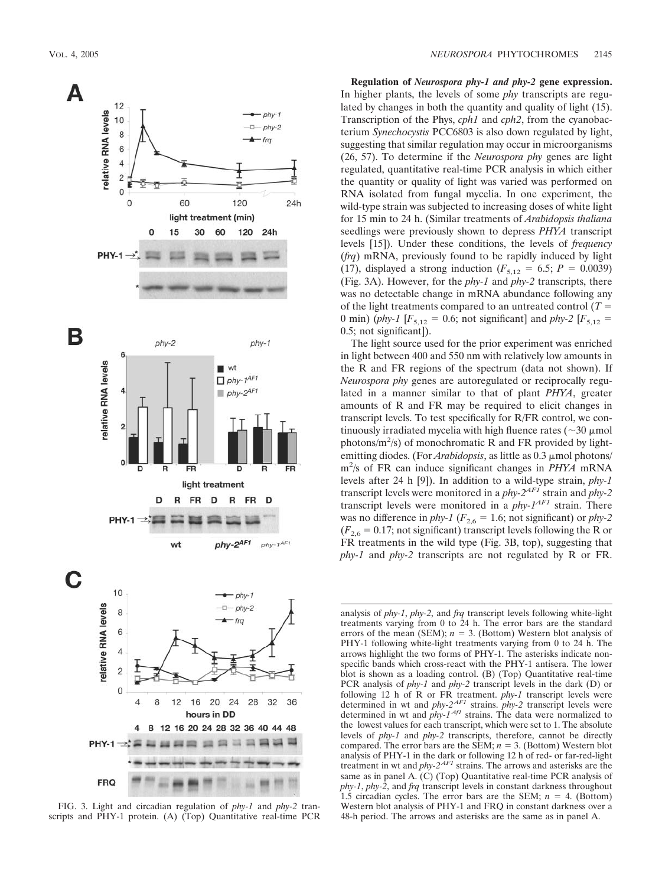

FIG. 3. Light and circadian regulation of *phy-1* and *phy-2* transcripts and PHY-1 protein. (A) (Top) Quantitative real-time PCR

**Regulation of** *Neurospora phy-1 and phy-2* **gene expression.** In higher plants, the levels of some *phy* transcripts are regulated by changes in both the quantity and quality of light (15). Transcription of the Phys, *cph1* and *cph2*, from the cyanobacterium *Synechocystis* PCC6803 is also down regulated by light, suggesting that similar regulation may occur in microorganisms (26, 57). To determine if the *Neurospora phy* genes are light regulated, quantitative real-time PCR analysis in which either the quantity or quality of light was varied was performed on RNA isolated from fungal mycelia. In one experiment, the wild-type strain was subjected to increasing doses of white light for 15 min to 24 h. (Similar treatments of *Arabidopsis thaliana* seedlings were previously shown to depress *PHYA* transcript levels [15]). Under these conditions, the levels of *frequency* (*frq*) mRNA, previously found to be rapidly induced by light (17), displayed a strong induction ( $F_{5,12} = 6.5$ ;  $P = 0.0039$ ) (Fig. 3A). However, for the *phy-1* and *phy-2* transcripts, there was no detectable change in mRNA abundance following any of the light treatments compared to an untreated control  $(T =$ 0 min) (*phy-1*  $[F_{5,12} = 0.6;$  not significant] and *phy-2*  $[F_{5,12} =$ 0.5; not significant]).

The light source used for the prior experiment was enriched in light between 400 and 550 nm with relatively low amounts in the R and FR regions of the spectrum (data not shown). If *Neurospora phy* genes are autoregulated or reciprocally regulated in a manner similar to that of plant *PHYA*, greater amounts of R and FR may be required to elicit changes in transcript levels. To test specifically for R/FR control, we continuously irradiated mycelia with high fluence rates ( $\sim$ 30  $\mu$ mol photons/m<sup>2</sup>/s) of monochromatic R and FR provided by lightemitting diodes. (For *Arabidopsis*, as little as  $0.3 \mu$  mol photons/ m2 /s of FR can induce significant changes in *PHYA* mRNA levels after 24 h [9]). In addition to a wild-type strain, *phy-1* transcript levels were monitored in a *phy-2AF1* strain and *phy-2* transcript levels were monitored in a *phy-1AF1* strain. There was no difference in *phy-1* ( $F_{2,6} = 1.6$ ; not significant) or *phy-2*  $(F_{2,6} = 0.17;$  not significant) transcript levels following the R or FR treatments in the wild type (Fig. 3B, top), suggesting that *phy-1* and *phy-2* transcripts are not regulated by R or FR.

analysis of *phy-1*, *phy-2*, and *frq* transcript levels following white-light treatments varying from 0 to 24 h. The error bars are the standard errors of the mean (SEM);  $n = 3$ . (Bottom) Western blot analysis of PHY-1 following white-light treatments varying from 0 to 24 h. The arrows highlight the two forms of PHY-1. The asterisks indicate nonspecific bands which cross-react with the PHY-1 antisera. The lower blot is shown as a loading control. (B) (Top) Quantitative real-time PCR analysis of *phy-1* and *phy-2* transcript levels in the dark (D) or following 12 h of R or FR treatment. *phy-1* transcript levels were determined in wt and  $phy-2<sup>AF1</sup>$  strains.  $phy-2$  transcript levels were determined in wt and *phy-1 Af1* strains. The data were normalized to the lowest values for each transcript, which were set to 1. The absolute levels of *phy-1* and *phy-2* transcripts, therefore, cannot be directly compared. The error bars are the SEM;  $n = 3$ . (Bottom) Western blot analysis of PHY-1 in the dark or following 12 h of red- or far-red-light treatment in wt and  $phy-2<sup>AF1</sup>$  strains. The arrows and asterisks are the same as in panel A. (C) (Top) Quantitative real-time PCR analysis of *phy-1*, *phy-2*, and *frq* transcript levels in constant darkness throughout 1.5 circadian cycles. The error bars are the SEM;  $n = 4$ . (Bottom) Western blot analysis of PHY-1 and FRQ in constant darkness over a 48-h period. The arrows and asterisks are the same as in panel A.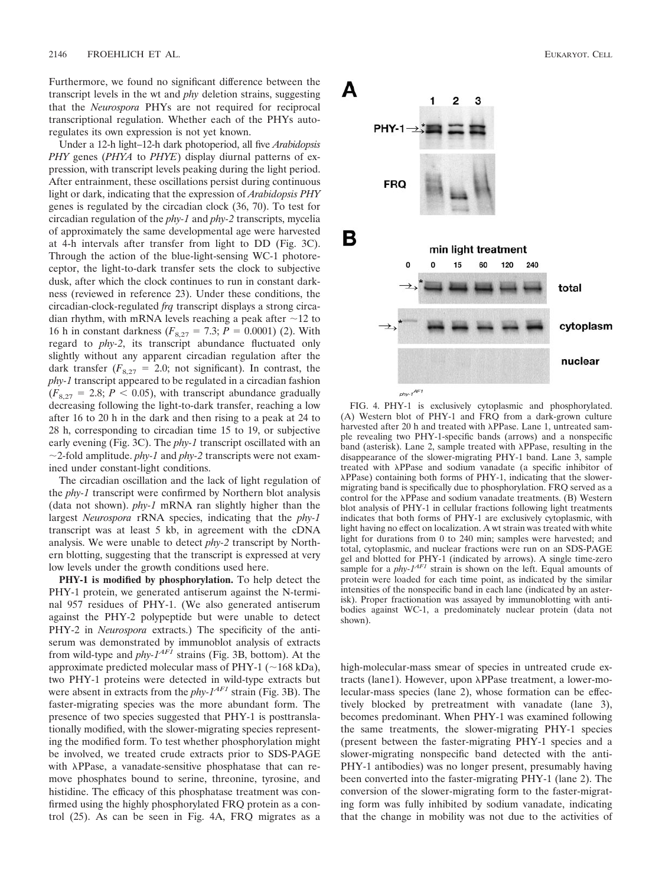Furthermore, we found no significant difference between the transcript levels in the wt and *phy* deletion strains, suggesting that the *Neurospora* PHYs are not required for reciprocal transcriptional regulation. Whether each of the PHYs autoregulates its own expression is not yet known.

Under a 12-h light–12-h dark photoperiod, all five *Arabidopsis PHY* genes (*PHYA* to *PHYE*) display diurnal patterns of expression, with transcript levels peaking during the light period. After entrainment, these oscillations persist during continuous light or dark, indicating that the expression of *Arabidopsis PHY* genes is regulated by the circadian clock (36, 70). To test for circadian regulation of the *phy-1* and *phy-2* transcripts, mycelia of approximately the same developmental age were harvested at 4-h intervals after transfer from light to DD (Fig. 3C). Through the action of the blue-light-sensing WC-1 photoreceptor, the light-to-dark transfer sets the clock to subjective dusk, after which the clock continues to run in constant darkness (reviewed in reference 23). Under these conditions, the circadian-clock-regulated *frq* transcript displays a strong circadian rhythm, with mRNA levels reaching a peak after  $\sim$ 12 to 16 h in constant darkness ( $F_{8,27} = 7.3$ ;  $P = 0.0001$ ) (2). With regard to *phy-2*, its transcript abundance fluctuated only slightly without any apparent circadian regulation after the dark transfer ( $F_{8,27}$  = 2.0; not significant). In contrast, the *phy-1* transcript appeared to be regulated in a circadian fashion  $(F_{8,27} = 2.8; P < 0.05)$ , with transcript abundance gradually decreasing following the light-to-dark transfer, reaching a low after 16 to 20 h in the dark and then rising to a peak at 24 to 28 h, corresponding to circadian time 15 to 19, or subjective early evening (Fig. 3C). The *phy-1* transcript oscillated with an -2-fold amplitude. *phy-1* and *phy-2* transcripts were not examined under constant-light conditions.

The circadian oscillation and the lack of light regulation of the *phy-1* transcript were confirmed by Northern blot analysis (data not shown). *phy-1* mRNA ran slightly higher than the largest *Neurospora* rRNA species, indicating that the *phy-1* transcript was at least 5 kb, in agreement with the cDNA analysis. We were unable to detect *phy-2* transcript by Northern blotting, suggesting that the transcript is expressed at very low levels under the growth conditions used here.

**PHY-1 is modified by phosphorylation.** To help detect the PHY-1 protein, we generated antiserum against the N-terminal 957 residues of PHY-1. (We also generated antiserum against the PHY-2 polypeptide but were unable to detect PHY-2 in *Neurospora* extracts.) The specificity of the antiserum was demonstrated by immunoblot analysis of extracts from wild-type and  $phy-I<sup>AFI</sup>$  strains (Fig. 3B, bottom). At the approximate predicted molecular mass of PHY-1 ( $\sim$ 168 kDa), two PHY-1 proteins were detected in wild-type extracts but were absent in extracts from the *phy-1AF1* strain (Fig. 3B). The faster-migrating species was the more abundant form. The presence of two species suggested that PHY-1 is posttranslationally modified, with the slower-migrating species representing the modified form. To test whether phosphorylation might be involved, we treated crude extracts prior to SDS-PAGE with  $\lambda$ PPase, a vanadate-sensitive phosphatase that can remove phosphates bound to serine, threonine, tyrosine, and histidine. The efficacy of this phosphatase treatment was confirmed using the highly phosphorylated FRQ protein as a control (25). As can be seen in Fig. 4A, FRQ migrates as a



FIG. 4. PHY-1 is exclusively cytoplasmic and phosphorylated. (A) Western blot of PHY-1 and FRQ from a dark-grown culture harvested after 20 h and treated with  $\lambda$ PPase. Lane 1, untreated sample revealing two PHY-1-specific bands (arrows) and a nonspecific band (asterisk). Lane 2, sample treated with  $\lambda$ PPase, resulting in the disappearance of the slower-migrating PHY-1 band. Lane 3, sample treated with  $\lambda$ PPase and sodium vanadate (a specific inhibitor of PPase) containing both forms of PHY-1, indicating that the slowermigrating band is specifically due to phosphorylation. FRQ served as a control for the  $\lambda$ PPase and sodium vanadate treatments. (B) Western blot analysis of PHY-1 in cellular fractions following light treatments indicates that both forms of PHY-1 are exclusively cytoplasmic, with light having no effect on localization. A wt strain was treated with white light for durations from 0 to 240 min; samples were harvested; and total, cytoplasmic, and nuclear fractions were run on an SDS-PAGE gel and blotted for PHY-1 (indicated by arrows). A single time-zero sample for a  $phy-1<sup>AF1</sup>$  strain is shown on the left. Equal amounts of protein were loaded for each time point, as indicated by the similar intensities of the nonspecific band in each lane (indicated by an asterisk). Proper fractionation was assayed by immunoblotting with antibodies against WC-1, a predominately nuclear protein (data not shown).

high-molecular-mass smear of species in untreated crude extracts (lane1). However, upon  $\lambda$ PPase treatment, a lower-molecular-mass species (lane 2), whose formation can be effectively blocked by pretreatment with vanadate (lane 3), becomes predominant. When PHY-1 was examined following the same treatments, the slower-migrating PHY-1 species (present between the faster-migrating PHY-1 species and a slower-migrating nonspecific band detected with the anti-PHY-1 antibodies) was no longer present, presumably having been converted into the faster-migrating PHY-1 (lane 2). The conversion of the slower-migrating form to the faster-migrating form was fully inhibited by sodium vanadate, indicating that the change in mobility was not due to the activities of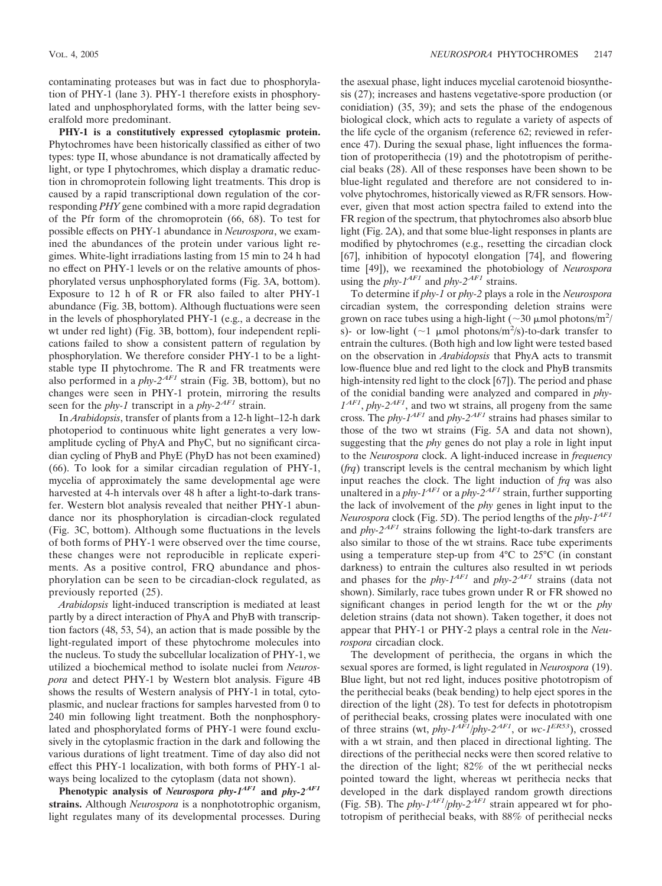contaminating proteases but was in fact due to phosphorylation of PHY-1 (lane 3). PHY-1 therefore exists in phosphorylated and unphosphorylated forms, with the latter being severalfold more predominant.

**PHY-1 is a constitutively expressed cytoplasmic protein.** Phytochromes have been historically classified as either of two types: type II, whose abundance is not dramatically affected by light, or type I phytochromes, which display a dramatic reduction in chromoprotein following light treatments. This drop is caused by a rapid transcriptional down regulation of the corresponding *PHY* gene combined with a more rapid degradation of the Pfr form of the chromoprotein (66, 68). To test for possible effects on PHY-1 abundance in *Neurospora*, we examined the abundances of the protein under various light regimes. White-light irradiations lasting from 15 min to 24 h had no effect on PHY-1 levels or on the relative amounts of phosphorylated versus unphosphorylated forms (Fig. 3A, bottom). Exposure to 12 h of R or FR also failed to alter PHY-1 abundance (Fig. 3B, bottom). Although fluctuations were seen in the levels of phosphorylated PHY-1 (e.g., a decrease in the wt under red light) (Fig. 3B, bottom), four independent replications failed to show a consistent pattern of regulation by phosphorylation. We therefore consider PHY-1 to be a lightstable type II phytochrome. The R and FR treatments were also performed in a *phy-2AF1* strain (Fig. 3B, bottom), but no changes were seen in PHY-1 protein, mirroring the results seen for the *phy-1* transcript in a *phy-2AF1* strain.

In *Arabidopsis*, transfer of plants from a 12-h light–12-h dark photoperiod to continuous white light generates a very lowamplitude cycling of PhyA and PhyC, but no significant circadian cycling of PhyB and PhyE (PhyD has not been examined) (66). To look for a similar circadian regulation of PHY-1, mycelia of approximately the same developmental age were harvested at 4-h intervals over 48 h after a light-to-dark transfer. Western blot analysis revealed that neither PHY-1 abundance nor its phosphorylation is circadian-clock regulated (Fig. 3C, bottom). Although some fluctuations in the levels of both forms of PHY-1 were observed over the time course, these changes were not reproducible in replicate experiments. As a positive control, FRQ abundance and phosphorylation can be seen to be circadian-clock regulated, as previously reported (25).

*Arabidopsis* light-induced transcription is mediated at least partly by a direct interaction of PhyA and PhyB with transcription factors (48, 53, 54), an action that is made possible by the light-regulated import of these phytochrome molecules into the nucleus. To study the subcellular localization of PHY-1, we utilized a biochemical method to isolate nuclei from *Neurospora* and detect PHY-1 by Western blot analysis. Figure 4B shows the results of Western analysis of PHY-1 in total, cytoplasmic, and nuclear fractions for samples harvested from 0 to 240 min following light treatment. Both the nonphosphorylated and phosphorylated forms of PHY-1 were found exclusively in the cytoplasmic fraction in the dark and following the various durations of light treatment. Time of day also did not effect this PHY-1 localization, with both forms of PHY-1 always being localized to the cytoplasm (data not shown).

**Phenotypic analysis of** *Neurospora phy-1AF1* **and** *phy-2 AF1* **strains.** Although *Neurospora* is a nonphototrophic organism, light regulates many of its developmental processes. During the asexual phase, light induces mycelial carotenoid biosynthesis (27); increases and hastens vegetative-spore production (or conidiation) (35, 39); and sets the phase of the endogenous biological clock, which acts to regulate a variety of aspects of the life cycle of the organism (reference 62; reviewed in reference 47). During the sexual phase, light influences the formation of protoperithecia (19) and the phototropism of perithecial beaks (28). All of these responses have been shown to be blue-light regulated and therefore are not considered to involve phytochromes, historically viewed as R/FR sensors. However, given that most action spectra failed to extend into the FR region of the spectrum, that phytochromes also absorb blue light (Fig. 2A), and that some blue-light responses in plants are modified by phytochromes (e.g., resetting the circadian clock [67], inhibition of hypocotyl elongation [74], and flowering time [49]), we reexamined the photobiology of *Neurospora* using the  $phv-1^{AF1}$  and  $phv-2^{AF1}$  strains.

To determine if *phy-1* or *phy-2* plays a role in the *Neurospora* circadian system, the corresponding deletion strains were grown on race tubes using a high-light  $(\sim 30 \text{ }\mu\text{mol photons/m}^2$ s)- or low-light ( $\sim$ 1 µmol photons/m<sup>2</sup>/s)-to-dark transfer to entrain the cultures. (Both high and low light were tested based on the observation in *Arabidopsis* that PhyA acts to transmit low-fluence blue and red light to the clock and PhyB transmits high-intensity red light to the clock [67]). The period and phase of the conidial banding were analyzed and compared in *phy-* $1^{AF1}$ , *phy-* $2^{AF1}$ , and two wt strains, all progeny from the same cross. The *phy-1<sup>AF1</sup>* and *phy-2<sup>AF1</sup>* strains had phases similar to those of the two wt strains (Fig. 5A and data not shown), suggesting that the *phy* genes do not play a role in light input to the *Neurospora* clock. A light-induced increase in *frequency* (*frq*) transcript levels is the central mechanism by which light input reaches the clock. The light induction of *frq* was also unaltered in a  $phy$ - $1^{AF1}$  or a  $phy$ - $2^{AF1}$  strain, further supporting the lack of involvement of the *phy* genes in light input to the *Neurospora* clock (Fig. 5D). The period lengths of the *phy-1AF1* and  $phy-2<sup>AF1</sup>$  strains following the light-to-dark transfers are also similar to those of the wt strains. Race tube experiments using a temperature step-up from 4°C to 25°C (in constant darkness) to entrain the cultures also resulted in wt periods and phases for the  $phy-1^{AF1}$  and  $phy-2^{AF1}$  strains (data not shown). Similarly, race tubes grown under R or FR showed no significant changes in period length for the wt or the *phy* deletion strains (data not shown). Taken together, it does not appear that PHY-1 or PHY-2 plays a central role in the *Neurospora* circadian clock.

The development of perithecia, the organs in which the sexual spores are formed, is light regulated in *Neurospora* (19). Blue light, but not red light, induces positive phototropism of the perithecial beaks (beak bending) to help eject spores in the direction of the light (28). To test for defects in phototropism of perithecial beaks, crossing plates were inoculated with one of three strains (wt,  $phy-1^{AF1}/phy-2^{AF1}$ , or  $wc-1^{ERS3}$ ), crossed with a wt strain, and then placed in directional lighting. The directions of the perithecial necks were then scored relative to the direction of the light; 82% of the wt perithecial necks pointed toward the light, whereas wt perithecia necks that developed in the dark displayed random growth directions (Fig. 5B). The *phy-1<sup>AF1</sup>/phy-2<sup>AF1</sup>* strain appeared wt for phototropism of perithecial beaks, with 88% of perithecial necks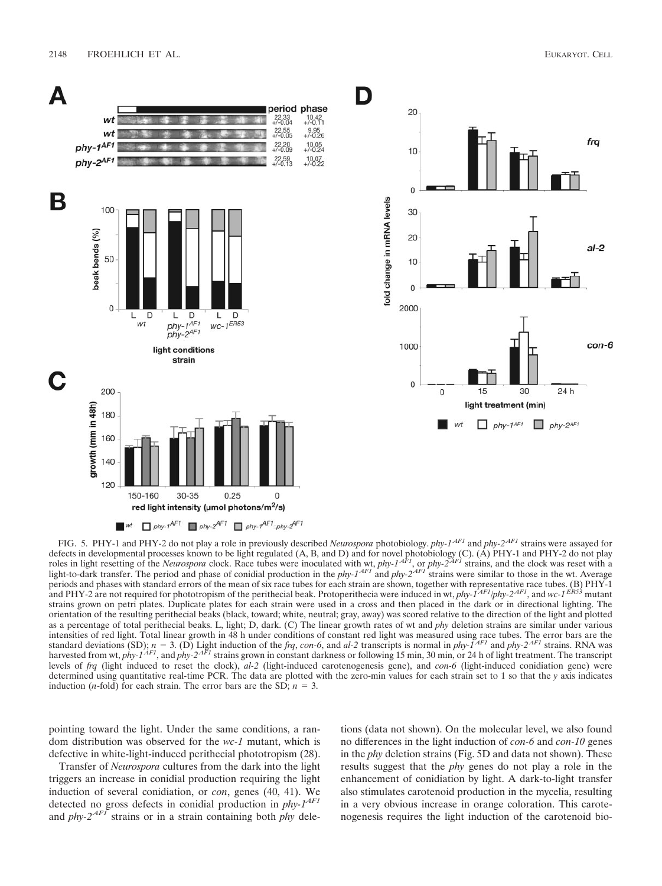

FIG. 5. PHY-1 and PHY-2 do not play a role in previously described *Neurospora* photobiology. *phy-1 AF1* and *phy-2 AF1* strains were assayed for defects in developmental processes known to be light regulated (A, B, and D) and for novel photobiology (C). (A) PHY-1 and PHY-2 do not play<br>roles in light resetting of the *Neurospora* clock. Race tubes were inoculated wi light-to-dark transfer. The period and phase of conidial production in the *phy-1<sup>AF1</sup>* and *phy-2<sup>AF1</sup>* strains were similar to those in the wt. Average periods and phases with standard errors of the mean of six race tubes for each strain are shown, together with representative race tubes. (B) PHY-1 and PHY-2 are not required for phototropism of the perithecial beak. Protoperithecia were induced in wt, *phy-1 AF1*/*phy-2 AF1*, and *wc-1 ER53* mutant strains grown on petri plates. Duplicate plates for each strain were used in a cross and then placed in the dark or in directional lighting. The orientation of the resulting perithecial beaks (black, toward; white, neutral; gray, away) was scored relative to the direction of the light and plotted as a percentage of total perithecial beaks. L, light; D, dark. (C) The linear growth rates of wt and *phy* deletion strains are similar under various intensities of red light. Total linear growth in 48 h under conditions of constant red light was measured using race tubes. The error bars are the standard deviations (SD);  $n = 3$ . (D) Light induction of the *frq, con-6*, harvested from wt, *phy-1<sup>2</sup>AF1*, and *phy-2<sup>4F1</sup>* strains grown in constant darkness or following 15 min, 30 min, or 24 h of light treatment. The transcript levels of *frq* (light induced to reset the clock), *al-2* (light-induced carotenogenesis gene), and *con-6* (light-induced conidiation gene) were determined using quantitative real-time PCR. The data are plotted with the zero-min values for each strain set to 1 so that the *y* axis indicates induction (*n*-fold) for each strain. The error bars are the SD;  $n = 3$ .

pointing toward the light. Under the same conditions, a random distribution was observed for the *wc-1* mutant, which is defective in white-light-induced perithecial phototropism (28).

Transfer of *Neurospora* cultures from the dark into the light triggers an increase in conidial production requiring the light induction of several conidiation, or *con*, genes (40, 41). We detected no gross defects in conidial production in *phy-1AF1* and *phy-2AF1* strains or in a strain containing both *phy* deletions (data not shown). On the molecular level, we also found no differences in the light induction of *con-6* and *con-10* genes in the *phy* deletion strains (Fig. 5D and data not shown). These results suggest that the *phy* genes do not play a role in the enhancement of conidiation by light. A dark-to-light transfer also stimulates carotenoid production in the mycelia, resulting in a very obvious increase in orange coloration. This carotenogenesis requires the light induction of the carotenoid bio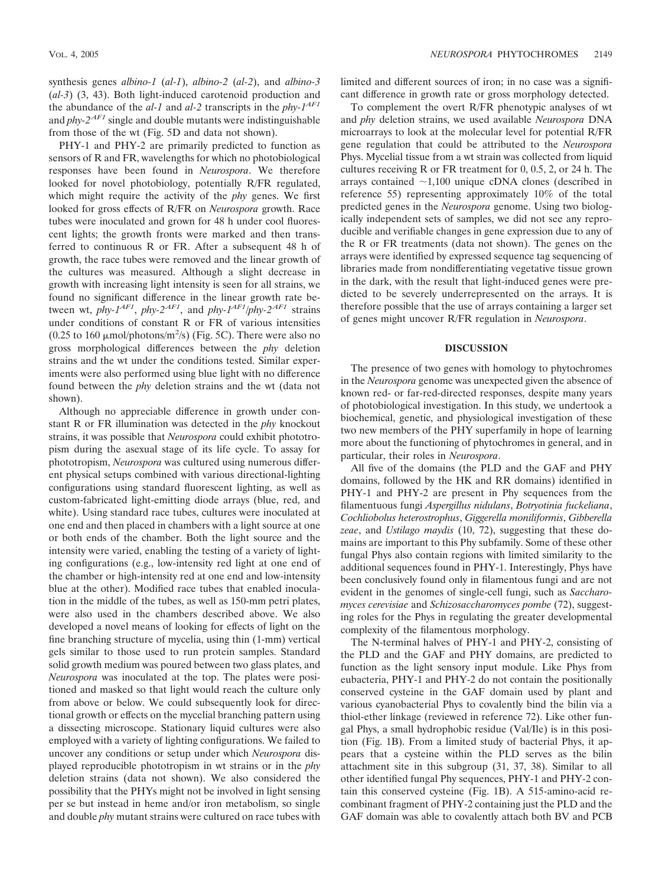synthesis genes *albino-1* (*al-1*), *albino-2* (*al-2*), and *albino-3* (*al-3*) (3, 43). Both light-induced carotenoid production and the abundance of the *al-1* and *al-2* transcripts in the *phy-1AF1* and *phy-2AF1* single and double mutants were indistinguishable from those of the wt (Fig. 5D and data not shown).

PHY-1 and PHY-2 are primarily predicted to function as sensors of R and FR, wavelengths for which no photobiological responses have been found in *Neurospora*. We therefore looked for novel photobiology, potentially R/FR regulated, which might require the activity of the *phy* genes. We first looked for gross effects of R/FR on *Neurospora* growth. Race tubes were inoculated and grown for 48 h under cool fluorescent lights; the growth fronts were marked and then transferred to continuous R or FR. After a subsequent 48 h of growth, the race tubes were removed and the linear growth of the cultures was measured. Although a slight decrease in growth with increasing light intensity is seen for all strains, we found no significant difference in the linear growth rate between wt,  $phy-P^{AF1}$ ,  $phy-2^{AF1}$ , and  $phy-P^{AF1}/phy-2^{AF1}$  strains under conditions of constant R or FR of various intensities (0.25 to 160  $\mu$ mol/photons/m<sup>2</sup>/s) (Fig. 5C). There were also no gross morphological differences between the *phy* deletion strains and the wt under the conditions tested. Similar experiments were also performed using blue light with no difference found between the *phy* deletion strains and the wt (data not shown).

Although no appreciable difference in growth under constant R or FR illumination was detected in the *phy* knockout strains, it was possible that *Neurospora* could exhibit phototropism during the asexual stage of its life cycle. To assay for phototropism, *Neurospora* was cultured using numerous different physical setups combined with various directional-lighting configurations using standard fluorescent lighting, as well as custom-fabricated light-emitting diode arrays (blue, red, and white). Using standard race tubes, cultures were inoculated at one end and then placed in chambers with a light source at one or both ends of the chamber. Both the light source and the intensity were varied, enabling the testing of a variety of lighting configurations (e.g., low-intensity red light at one end of the chamber or high-intensity red at one end and low-intensity blue at the other). Modified race tubes that enabled inoculation in the middle of the tubes, as well as 150-mm petri plates, were also used in the chambers described above. We also developed a novel means of looking for effects of light on the fine branching structure of mycelia, using thin (1-mm) vertical gels similar to those used to run protein samples. Standard solid growth medium was poured between two glass plates, and *Neurospora* was inoculated at the top. The plates were positioned and masked so that light would reach the culture only from above or below. We could subsequently look for directional growth or effects on the mycelial branching pattern using a dissecting microscope. Stationary liquid cultures were also employed with a variety of lighting configurations. We failed to uncover any conditions or setup under which *Neurospora* displayed reproducible phototropism in wt strains or in the *phy* deletion strains (data not shown). We also considered the possibility that the PHYs might not be involved in light sensing per se but instead in heme and/or iron metabolism, so single and double *phy* mutant strains were cultured on race tubes with

limited and different sources of iron; in no case was a significant difference in growth rate or gross morphology detected.

To complement the overt R/FR phenotypic analyses of wt and *phy* deletion strains, we used available *Neurospora* DNA microarrays to look at the molecular level for potential R/FR gene regulation that could be attributed to the *Neurospora* Phys. Mycelial tissue from a wt strain was collected from liquid cultures receiving R or FR treatment for 0, 0.5, 2, or 24 h. The arrays contained  $\sim$ 1,100 unique cDNA clones (described in reference 55) representing approximately 10% of the total predicted genes in the *Neurospora* genome. Using two biologically independent sets of samples, we did not see any reproducible and verifiable changes in gene expression due to any of the R or FR treatments (data not shown). The genes on the arrays were identified by expressed sequence tag sequencing of libraries made from nondifferentiating vegetative tissue grown in the dark, with the result that light-induced genes were predicted to be severely underrepresented on the arrays. It is therefore possible that the use of arrays containing a larger set of genes might uncover R/FR regulation in *Neurospora*.

#### **DISCUSSION**

The presence of two genes with homology to phytochromes in the *Neurospora* genome was unexpected given the absence of known red- or far-red-directed responses, despite many years of photobiological investigation. In this study, we undertook a biochemical, genetic, and physiological investigation of these two new members of the PHY superfamily in hope of learning more about the functioning of phytochromes in general, and in particular, their roles in *Neurospora*.

All five of the domains (the PLD and the GAF and PHY domains, followed by the HK and RR domains) identified in PHY-1 and PHY-2 are present in Phy sequences from the filamentuous fungi *Aspergillus nidulans*, *Botryotinia fuckeliana*, *Cochliobolus heterostrophus*, *Giggerella moniliformis*, *Gibberella zeae*, and *Ustilago maydis* (10, 72), suggesting that these domains are important to this Phy subfamily. Some of these other fungal Phys also contain regions with limited similarity to the additional sequences found in PHY-1. Interestingly, Phys have been conclusively found only in filamentous fungi and are not evident in the genomes of single-cell fungi, such as *Saccharomyces cerevisiae* and *Schizosaccharomyces pombe* (72), suggesting roles for the Phys in regulating the greater developmental complexity of the filamentous morphology.

The N-terminal halves of PHY-1 and PHY-2, consisting of the PLD and the GAF and PHY domains, are predicted to function as the light sensory input module. Like Phys from eubacteria, PHY-1 and PHY-2 do not contain the positionally conserved cysteine in the GAF domain used by plant and various cyanobacterial Phys to covalently bind the bilin via a thiol-ether linkage (reviewed in reference 72). Like other fungal Phys, a small hydrophobic residue (Val/Ile) is in this position (Fig. 1B). From a limited study of bacterial Phys, it appears that a cysteine within the PLD serves as the bilin attachment site in this subgroup (31, 37, 38). Similar to all other identified fungal Phy sequences, PHY-1 and PHY-2 contain this conserved cysteine (Fig. 1B). A 515-amino-acid recombinant fragment of PHY-2 containing just the PLD and the GAF domain was able to covalently attach both BV and PCB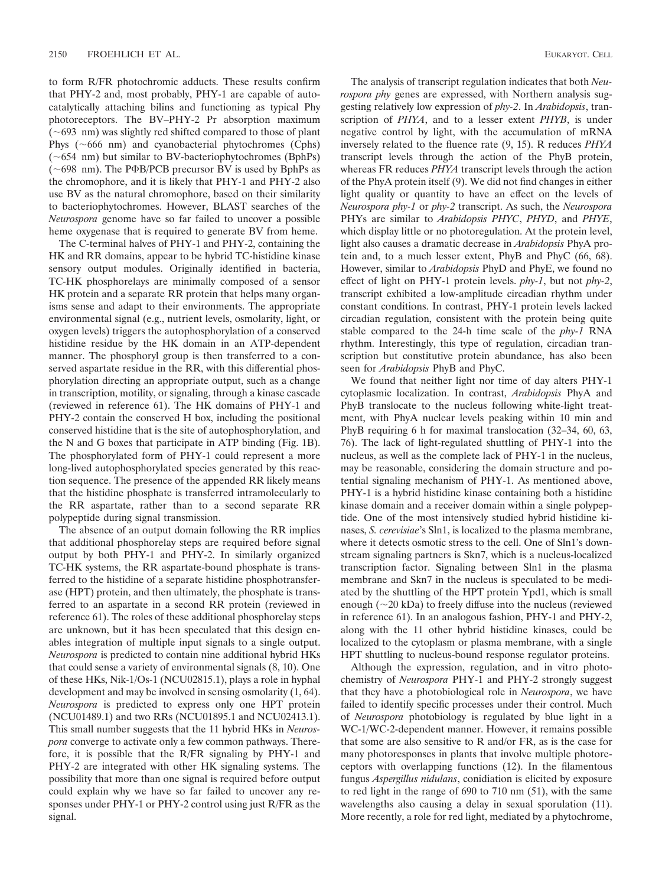to form R/FR photochromic adducts. These results confirm that PHY-2 and, most probably, PHY-1 are capable of autocatalytically attaching bilins and functioning as typical Phy photoreceptors. The BV–PHY-2 Pr absorption maximum  $(\sim 693 \text{ nm})$  was slightly red shifted compared to those of plant Phys  $(\sim]666$  nm) and cyanobacterial phytochromes (Cphs) (-654 nm) but similar to BV-bacteriophytochromes (BphPs)  $(\sim 698 \text{ nm})$ . The P $\Phi$ B/PCB precursor BV is used by BphPs as the chromophore, and it is likely that PHY-1 and PHY-2 also use BV as the natural chromophore, based on their similarity to bacteriophytochromes. However, BLAST searches of the *Neurospora* genome have so far failed to uncover a possible heme oxygenase that is required to generate BV from heme.

The C-terminal halves of PHY-1 and PHY-2, containing the HK and RR domains, appear to be hybrid TC-histidine kinase sensory output modules. Originally identified in bacteria, TC-HK phosphorelays are minimally composed of a sensor HK protein and a separate RR protein that helps many organisms sense and adapt to their environments. The appropriate environmental signal (e.g., nutrient levels, osmolarity, light, or oxygen levels) triggers the autophosphorylation of a conserved histidine residue by the HK domain in an ATP-dependent manner. The phosphoryl group is then transferred to a conserved aspartate residue in the RR, with this differential phosphorylation directing an appropriate output, such as a change in transcription, motility, or signaling, through a kinase cascade (reviewed in reference 61). The HK domains of PHY-1 and PHY-2 contain the conserved H box, including the positional conserved histidine that is the site of autophosphorylation, and the N and G boxes that participate in ATP binding (Fig. 1B). The phosphorylated form of PHY-1 could represent a more long-lived autophosphorylated species generated by this reaction sequence. The presence of the appended RR likely means that the histidine phosphate is transferred intramolecularly to the RR aspartate, rather than to a second separate RR polypeptide during signal transmission.

The absence of an output domain following the RR implies that additional phosphorelay steps are required before signal output by both PHY-1 and PHY-2. In similarly organized TC-HK systems, the RR aspartate-bound phosphate is transferred to the histidine of a separate histidine phosphotransferase (HPT) protein, and then ultimately, the phosphate is transferred to an aspartate in a second RR protein (reviewed in reference 61). The roles of these additional phosphorelay steps are unknown, but it has been speculated that this design enables integration of multiple input signals to a single output. *Neurospora* is predicted to contain nine additional hybrid HKs that could sense a variety of environmental signals (8, 10). One of these HKs, Nik-1/Os-1 (NCU02815.1), plays a role in hyphal development and may be involved in sensing osmolarity (1, 64). *Neurospora* is predicted to express only one HPT protein (NCU01489.1) and two RRs (NCU01895.1 and NCU02413.1). This small number suggests that the 11 hybrid HKs in *Neurospora* converge to activate only a few common pathways. Therefore, it is possible that the R/FR signaling by PHY-1 and PHY-2 are integrated with other HK signaling systems. The possibility that more than one signal is required before output could explain why we have so far failed to uncover any responses under PHY-1 or PHY-2 control using just R/FR as the signal.

The analysis of transcript regulation indicates that both *Neurospora phy* genes are expressed, with Northern analysis suggesting relatively low expression of *phy-2*. In *Arabidopsis*, transcription of *PHYA*, and to a lesser extent *PHYB*, is under negative control by light, with the accumulation of mRNA inversely related to the fluence rate (9, 15). R reduces *PHYA* transcript levels through the action of the PhyB protein, whereas FR reduces *PHYA* transcript levels through the action of the PhyA protein itself (9). We did not find changes in either light quality or quantity to have an effect on the levels of *Neurospora phy-1* or *phy-2* transcript. As such, the *Neurospora* PHYs are similar to *Arabidopsis PHYC*, *PHYD*, and *PHYE*, which display little or no photoregulation. At the protein level, light also causes a dramatic decrease in *Arabidopsis* PhyA protein and, to a much lesser extent, PhyB and PhyC (66, 68). However, similar to *Arabidopsis* PhyD and PhyE, we found no effect of light on PHY-1 protein levels. *phy-1*, but not *phy-2*, transcript exhibited a low-amplitude circadian rhythm under constant conditions. In contrast, PHY-1 protein levels lacked circadian regulation, consistent with the protein being quite stable compared to the 24-h time scale of the *phy-1* RNA rhythm. Interestingly, this type of regulation, circadian transcription but constitutive protein abundance, has also been seen for *Arabidopsis* PhyB and PhyC.

We found that neither light nor time of day alters PHY-1 cytoplasmic localization. In contrast, *Arabidopsis* PhyA and PhyB translocate to the nucleus following white-light treatment, with PhyA nuclear levels peaking within 10 min and PhyB requiring 6 h for maximal translocation (32–34, 60, 63, 76). The lack of light-regulated shuttling of PHY-1 into the nucleus, as well as the complete lack of PHY-1 in the nucleus, may be reasonable, considering the domain structure and potential signaling mechanism of PHY-1. As mentioned above, PHY-1 is a hybrid histidine kinase containing both a histidine kinase domain and a receiver domain within a single polypeptide. One of the most intensively studied hybrid histidine kinases, *S. cerevisiae*'s Sln1, is localized to the plasma membrane, where it detects osmotic stress to the cell. One of Sln1's downstream signaling partners is Skn7, which is a nucleus-localized transcription factor. Signaling between Sln1 in the plasma membrane and Skn7 in the nucleus is speculated to be mediated by the shuttling of the HPT protein Ypd1, which is small enough  $(\sim 20 \text{ kDa})$  to freely diffuse into the nucleus (reviewed in reference 61). In an analogous fashion, PHY-1 and PHY-2, along with the 11 other hybrid histidine kinases, could be localized to the cytoplasm or plasma membrane, with a single HPT shuttling to nucleus-bound response regulator proteins.

Although the expression, regulation, and in vitro photochemistry of *Neurospora* PHY-1 and PHY-2 strongly suggest that they have a photobiological role in *Neurospora*, we have failed to identify specific processes under their control. Much of *Neurospora* photobiology is regulated by blue light in a WC-1/WC-2-dependent manner. However, it remains possible that some are also sensitive to R and/or FR, as is the case for many photoresponses in plants that involve multiple photoreceptors with overlapping functions (12). In the filamentous fungus *Aspergillus nidulans*, conidiation is elicited by exposure to red light in the range of 690 to 710 nm (51), with the same wavelengths also causing a delay in sexual sporulation (11). More recently, a role for red light, mediated by a phytochrome,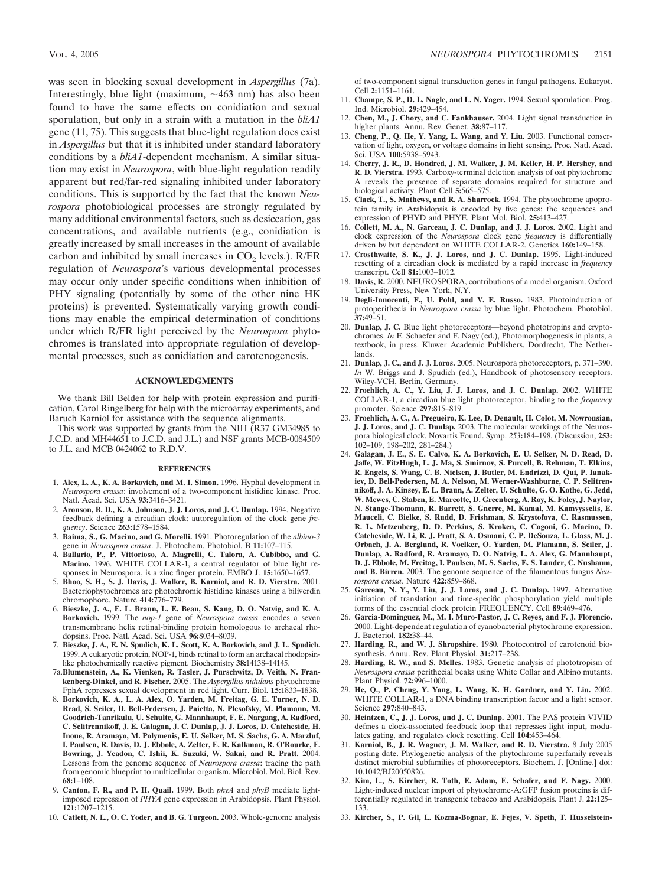was seen in blocking sexual development in *Aspergillus* (7a). Interestingly, blue light (maximum,  $\sim$ 463 nm) has also been found to have the same effects on conidiation and sexual sporulation, but only in a strain with a mutation in the *bliA1* gene (11, 75). This suggests that blue-light regulation does exist in *Aspergillus* but that it is inhibited under standard laboratory conditions by a *bliA1*-dependent mechanism. A similar situation may exist in *Neurospora*, with blue-light regulation readily apparent but red/far-red signaling inhibited under laboratory conditions. This is supported by the fact that the known *Neurospora* photobiological processes are strongly regulated by many additional environmental factors, such as desiccation, gas concentrations, and available nutrients (e.g., conidiation is greatly increased by small increases in the amount of available carbon and inhibited by small increases in  $CO<sub>2</sub>$  levels.). R/FR regulation of *Neurospora*'s various developmental processes may occur only under specific conditions when inhibition of PHY signaling (potentially by some of the other nine HK proteins) is prevented. Systematically varying growth conditions may enable the empirical determination of conditions under which R/FR light perceived by the *Neurospora* phytochromes is translated into appropriate regulation of developmental processes, such as conidiation and carotenogenesis.

#### **ACKNOWLEDGMENTS**

We thank Bill Belden for help with protein expression and purification, Carol Ringelberg for help with the microarray experiments, and Baruch Karniol for assistance with the sequence alignments.

This work was supported by grants from the NIH (R37 GM34985 to J.C.D. and MH44651 to J.C.D. and J.L.) and NSF grants MCB-0084509 to J.L. and MCB 0424062 to R.D.V.

#### **REFERENCES**

- 1. **Alex, L. A., K. A. Borkovich, and M. I. Simon.** 1996. Hyphal development in *Neurospora crassa*: involvement of a two-component histidine kinase. Proc. Natl. Acad. Sci. USA **93:**3416–3421.
- 2. **Aronson, B. D., K. A. Johnson, J. J. Loros, and J. C. Dunlap.** 1994. Negative feedback defining a circadian clock: autoregulation of the clock gene *frequency*. Science **263:**1578–1584.
- 3. **Baima, S., G. Macino, and G. Morelli.** 1991. Photoregulation of the *albino-3* gene in *Neurospora crassa*. J. Photochem. Photobiol. B **11:**107–115.
- 4. **Ballario, P., P. Vittorioso, A. Magrelli, C. Talora, A. Cabibbo, and G. Macino.** 1996. WHITE COLLAR-1, a central regulator of blue light responses in Neurospora, is a zinc finger protein. EMBO J. **15:**1650–1657.
- 5. **Bhoo, S. H., S. J. Davis, J. Walker, B. Karniol, and R. D. Vierstra.** 2001. Bacteriophytochromes are photochromic histidine kinases using a biliverdin chromophore. Nature **414:**776–779.
- 6. **Bieszke, J. A., E. L. Braun, L. E. Bean, S. Kang, D. O. Natvig, and K. A. Borkovich.** 1999. The *nop-1* gene of *Neurospora crassa* encodes a seven transmembrane helix retinal-binding protein homologous to archaeal rhodopsins. Proc. Natl. Acad. Sci. USA **96:**8034–8039.
- 7. **Bieszke, J. A., E. N. Spudich, K. L. Scott, K. A. Borkovich, and J. L. Spudich.** 1999. A eukaryotic protein, NOP-1, binds retinal to form an archaeal rhodopsinlike photochemically reactive pigment. Biochemistry **38:**14138–14145.
- 7a.**Blumenstein, A., K. Vienken, R. Tasler, J. Purschwitz, D. Veith, N. Frankenberg-Dinkel, and R. Fischer.** 2005. The *Aspergillus nidulans* phytochrome FphA represses sexual development in red light. Curr. Biol. **15:**1833–1838.
- 8. **Borkovich, K. A., L. A. Alex, O. Yarden, M. Freitag, G. E. Turner, N. D. Read, S. Seiler, D. Bell-Pedersen, J. Paietta, N. Plesofsky, M. Plamann, M. Goodrich-Tanrikulu, U. Schulte, G. Mannhaupt, F. E. Nargang, A. Radford, C. Selitrennikoff, J. E. Galagan, J. C. Dunlap, J. J. Loros, D. Catcheside, H. Inoue, R. Aramayo, M. Polymenis, E. U. Selker, M. S. Sachs, G. A. Marzluf, I. Paulsen, R. Davis, D. J. Ebbole, A. Zelter, E. R. Kalkman, R. O'Rourke, F. Bowring, J. Yeadon, C. Ishii, K. Suzuki, W. Sakai, and R. Pratt.** 2004. Lessons from the genome sequence of *Neurospora crassa*: tracing the path from genomic blueprint to multicellular organism. Microbiol. Mol. Biol. Rev. **68:**1–108.
- 9. **Canton, F. R., and P. H. Quail.** 1999. Both *phyA* and *phyB* mediate lightimposed repression of *PHYA* gene expression in Arabidopsis. Plant Physiol. **121:**1207–1215.
- 10. **Catlett, N. L., O. C. Yoder, and B. G. Turgeon.** 2003. Whole-genome analysis

of two-component signal transduction genes in fungal pathogens. Eukaryot. Cell **2:**1151–1161.

- 11. **Champe, S. P., D. L. Nagle, and L. N. Yager.** 1994. Sexual sporulation. Prog. Ind. Microbiol. **29:**429–454.
- 12. **Chen, M., J. Chory, and C. Fankhauser.** 2004. Light signal transduction in higher plants. Annu. Rev. Genet. **38:**87–117.
- 13. **Cheng, P., Q. He, Y. Yang, L. Wang, and Y. Liu.** 2003. Functional conservation of light, oxygen, or voltage domains in light sensing. Proc. Natl. Acad. Sci. USA **100:**5938–5943.
- 14. **Cherry, J. R., D. Hondred, J. M. Walker, J. M. Keller, H. P. Hershey, and R. D. Vierstra.** 1993. Carboxy-terminal deletion analysis of oat phytochrome A reveals the presence of separate domains required for structure and biological activity. Plant Cell **5:**565–575.
- 15. **Clack, T., S. Mathews, and R. A. Sharrock.** 1994. The phytochrome apoprotein family in Arabidopsis is encoded by five genes: the sequences and expression of PHYD and PHYE. Plant Mol. Biol. **25:**413–427.
- 16. **Collett, M. A., N. Garceau, J. C. Dunlap, and J. J. Loros.** 2002. Light and clock expression of the *Neurospora* clock gene *frequency* is differentially driven by but dependent on WHITE COLLAR-2. Genetics **160:**149–158.
- 17. **Crosthwaite, S. K., J. J. Loros, and J. C. Dunlap.** 1995. Light-induced resetting of a circadian clock is mediated by a rapid increase in *frequency* transcript. Cell **81:**1003–1012.
- 18. **Davis, R.** 2000. NEUROSPORA, contributions of a model organism. Oxford University Press, New York, N.Y.
- 19. **Degli-Innocenti, F., U. Pohl, and V. E. Russo.** 1983. Photoinduction of protoperithecia in *Neurospora crassa* by blue light. Photochem. Photobiol. **37:**49–51.
- 20. **Dunlap, J. C.** Blue light photoreceptors—beyond phototropins and cryptochromes. *In* E. Schaefer and F. Nagy (ed.), Photomorphogenesis in plants, a textbook, in press. Kluwer Academic Publishers, Dordrecht, The Netherlands.
- 21. **Dunlap, J. C., and J. J. Loros.** 2005. Neurospora photoreceptors, p. 371–390. *In* W. Briggs and J. Spudich (ed.), Handbook of photosensory receptors. Wiley-VCH, Berlin, Germany.
- 22. **Froehlich, A. C., Y. Liu, J. J. Loros, and J. C. Dunlap.** 2002. WHITE COLLAR-1, a circadian blue light photoreceptor, binding to the *frequency* promoter. Science **297:**815–819.
- 23. **Froehlich, A. C., A. Pregueiro, K. Lee, D. Denault, H. Colot, M. Nowrousian, J. J. Loros, and J. C. Dunlap.** 2003. The molecular workings of the Neurospora biological clock. Novartis Found. Symp. *253***:**184–198. (Discussion, **253:** 102–109, 198–202, 281–284.)
- 24. **Galagan, J. E., S. E. Calvo, K. A. Borkovich, E. U. Selker, N. D. Read, D. Jaffe, W. FitzHugh, L. J. Ma, S. Smirnov, S. Purcell, B. Rehman, T. Elkins, R. Engels, S. Wang, C. B. Nielsen, J. Butler, M. Endrizzi, D. Qui, P. Ianakiev, D. Bell-Pedersen, M. A. Nelson, M. Werner-Washburne, C. P. Selitrennikoff, J. A. Kinsey, E. L. Braun, A. Zelter, U. Schulte, G. O. Kothe, G. Jedd, W. Mewes, C. Staben, E. Marcotte, D. Greenberg, A. Roy, K. Foley, J. Naylor, N. Stange-Thomann, R. Barrett, S. Gnerre, M. Kamal, M. Kamvysselis, E. Mauceli, C. Bielke, S. Rudd, D. Frishman, S. Krystofova, C. Rasmussen, R. L. Metzenberg, D. D. Perkins, S. Kroken, C. Cogoni, G. Macino, D. Catcheside, W. Li, R. J. Pratt, S. A. Osmani, C. P. DeSouza, L. Glass, M. J. Orbach, J. A. Berglund, R. Voelker, O. Yarden, M. Plamann, S. Seiler, J. Dunlap, A. Radford, R. Aramayo, D. O. Natvig, L. A. Alex, G. Mannhaupt, D. J. Ebbole, M. Freitag, I. Paulsen, M. S. Sachs, E. S. Lander, C. Nusbaum, and B. Birren.** 2003. The genome sequence of the filamentous fungus *Neurospora crassa*. Nature **422:**859–868.
- 25. **Garceau, N. Y., Y. Liu, J. J. Loros, and J. C. Dunlap.** 1997. Alternative initiation of translation and time-specific phosphorylation yield multiple forms of the essential clock protein FREQUENCY. Cell **89:**469–476.
- 26. **Garcia-Dominguez, M., M. I. Muro-Pastor, J. C. Reyes, and F. J. Florencio.** 2000. Light-dependent regulation of cyanobacterial phytochrome expression. J. Bacteriol. **182:**38–44.
- 27. **Harding, R., and W. J. Shropshire.** 1980. Photocontrol of carotenoid biosynthesis. Annu. Rev. Plant Physiol. **31:**217–238.
- 28. **Harding, R. W., and S. Melles.** 1983. Genetic analysis of phototropism of *Neurospora crassa* perithecial beaks using White Collar and Albino mutants. Plant Physiol. **72:**996–1000.
- 29. **He, Q., P. Cheng, Y. Yang, L. Wang, K. H. Gardner, and Y. Liu.** 2002. WHITE COLLAR-1, a DNA binding transcription factor and a light sensor. Science **297:**840–843.
- 30. **Heintzen, C., J. J. Loros, and J. C. Dunlap.** 2001. The PAS protein VIVID defines a clock-associated feedback loop that represses light input, modulates gating, and regulates clock resetting. Cell **104:**453–464.
- 31. **Karniol, B., J. R. Wagner, J. M. Walker, and R. D. Vierstra.** 8 July 2005 posting date. Phylogenetic analysis of the phytochrome superfamily reveals distinct microbial subfamilies of photoreceptors. Biochem. J. [Online.] doi: 10.1042/BJ20050826.
- 32. **Kim, L., S. Kircher, R. Toth, E. Adam, E. Schafer, and F. Nagy.** 2000. Light-induced nuclear import of phytochrome-A:GFP fusion proteins is differentially regulated in transgenic tobacco and Arabidopsis. Plant J. **22:**125– 133.
- 33. **Kircher, S., P. Gil, L. Kozma-Bognar, E. Fejes, V. Speth, T. Husselstein-**